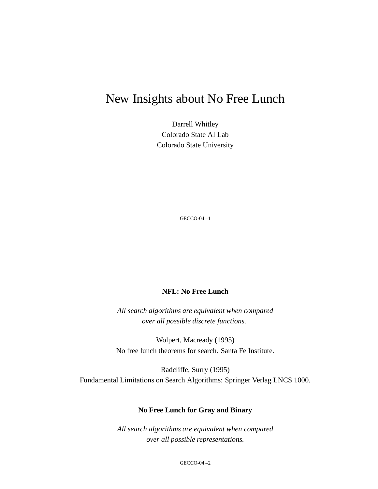# New Insights about No Free Lunch

Darrell Whitley Colorado State AI Lab Colorado State University

GECCO-04 –1

#### **NFL: No Free Lunch**

*All search algorithms are equivalent when compared over all possible discrete functions.*

Wolpert, Macready (1995) No free lunch theorems for search. Santa Fe Institute.

Radcliffe, Surry (1995) Fundamental Limitations on Search Algorithms: Springer Verlag LNCS 1000.

#### **No Free Lunch for Gray and Binary**

*All search algorithms are equivalent when compared over all possible representations.*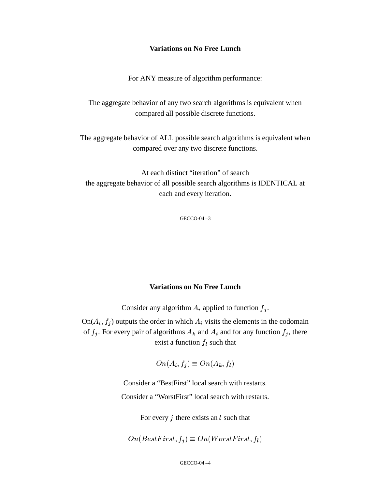#### **Variations on No Free Lunch**

For ANY measure of algorithm performance:

The aggregate behavior of any two search algorithms is equivalent when compared all possible discrete functions.

The aggregate behavior of ALL possible search algorithms is equivalent when compared over any two discrete functions.

At each distinct "iteration" of search the aggregate behavior of all possible search algorithms is IDENTICAL at each and every iteration.

GECCO-04 –3

#### **Variations on No Free Lunch**

Consider any algorithm  $A_i$  applied to function  $f_i$ .

 $On(A_i, f_i)$  outputs the order in which  $A_i$  visits the elements in the codomain of  $f_i$ . For every pair of algorithms  $A_k$  and  $A_i$  and for any function  $f_i$ , there exist a function  $f_l$  such that

$$
On(A_i, f_j) \equiv On(A_k, f_l)
$$

Consider a "BestFirst" local search with restarts. Consider a "WorstFirst" local search with restarts.

For every  $j$  there exists an  $l$  such that

$$
On (BestFirst, f_j) \equiv On (WorstFirst, f_l)
$$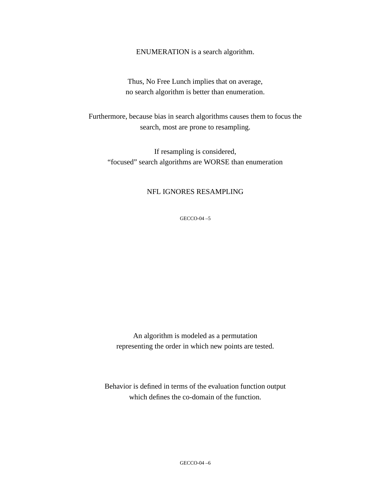ENUMERATION is a search algorithm.

Thus, No Free Lunch implies that on average, no search algorithm is better than enumeration.

Furthermore, because bias in search algorithms causes them to focus the search, most are prone to resampling.

If resampling is considered, "focused" search algorithms are WORSE than enumeration

#### NFL IGNORES RESAMPLING

GECCO-04 –5

An algorithm is modeled as a permutation representing the order in which new points are tested.

Behavior is defined in terms of the evaluation function output which defines the co-domain of the function.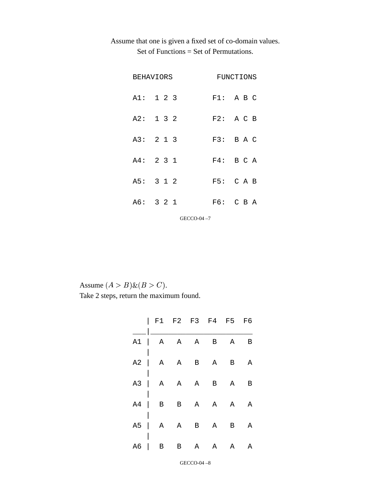## Assume that one is given a fixed set of co-domain values. Set of Functions = Set of Permutations.

| <b>BEHAVIORS</b> |  |  |  |  | FUNCTIONS |  |  |  |  |
|------------------|--|--|--|--|-----------|--|--|--|--|
| A1: 1 2 3        |  |  |  |  | F1: A B C |  |  |  |  |
| A2: 132          |  |  |  |  | F2: A C B |  |  |  |  |
| A3: 2 1 3        |  |  |  |  | F3: B A C |  |  |  |  |
| A4: 231          |  |  |  |  | F4: B C A |  |  |  |  |
| A5: 3 1 2        |  |  |  |  | F5: C A B |  |  |  |  |
| A6: 3 2 1        |  |  |  |  | F6: C B A |  |  |  |  |
| GECCO-04-7       |  |  |  |  |           |  |  |  |  |

Assume  $(A > B) \& (B > C)$ . Take 2 steps, return the maximum found.

| F1 F2 F3 F4 F5 F6  |  |  |  |
|--------------------|--|--|--|
| $A1$   A A A B A B |  |  |  |
| $A2$   A A B A B A |  |  |  |
| $A3$   A A A B A B |  |  |  |
| $A4$   B B A A A A |  |  |  |
| $A5$   A A B A B A |  |  |  |
| $A6$   B B A A A A |  |  |  |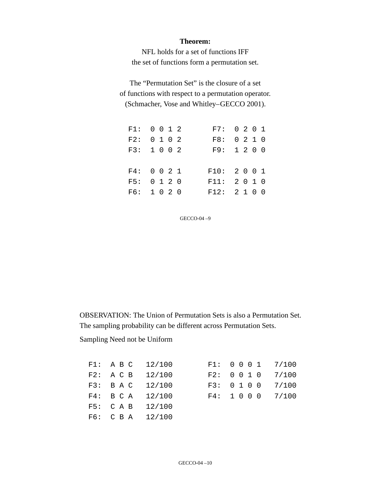#### **Theorem:**

NFL holds for a set of functions IFF the set of functions form a permutation set.

The "Permutation Set" is the closure of a set of functions with respect to a permutation operator. (Schmacher, Vose and Whitley–GECCO 2001).

| F1: 0 0 1 2 |  |  | F7: 0 2 0 1  |  |  |
|-------------|--|--|--------------|--|--|
| F2: 0 1 0 2 |  |  | F8: 0 2 1 0  |  |  |
| F3: 1 0 0 2 |  |  | F9: 1200     |  |  |
|             |  |  |              |  |  |
| F4: 0 0 2 1 |  |  | F10: 2001    |  |  |
| F5: 0 1 2 0 |  |  | F11: 2010    |  |  |
| F6: 1 0 2 0 |  |  | F12: 2 1 0 0 |  |  |

GECCO-04 –9

OBSERVATION: The Union of Permutation Sets is also a Permutation Set. The sampling probability can be different across Permutation Sets.

Sampling Need not be Uniform

|                    | F1: A B C $12/100$ | F1: 0 0 0 1 7/100 |  |
|--------------------|--------------------|-------------------|--|
| F2: A C B $12/100$ |                    | F2: 0 0 1 0 7/100 |  |
| F3: B A C $12/100$ |                    | F3: 0 1 0 0 7/100 |  |
| F4: B CA 12/100    |                    | F4: 1 0 0 0 7/100 |  |
| F5: CAB 12/100     |                    |                   |  |
| F6: C B A $12/100$ |                    |                   |  |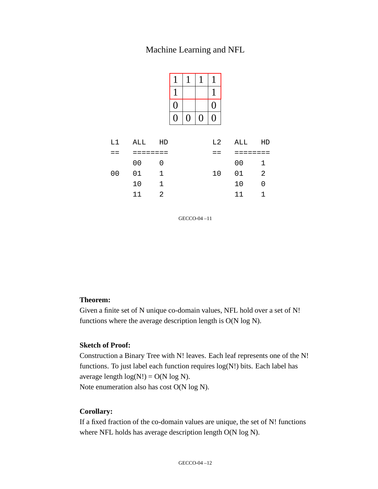### Machine Learning and NFL

| 0  |   |                  | 0 |
|----|---|------------------|---|
| () | 0 | $\boldsymbol{0}$ | 0 |

| L1 - | ALL HD    |          |      | L2 ALL HD |                |  |
|------|-----------|----------|------|-----------|----------------|--|
|      | --------  |          |      | _____     |                |  |
|      | 00 0      |          |      | 00 1      |                |  |
| 00   | 01        | $\sim$ 1 | 10 D | 01 2      |                |  |
|      | 10 1      |          |      | 10        | $\bigcirc$     |  |
|      | $11 \t 2$ |          |      | 11        | $\overline{1}$ |  |

GECCO-04 –11

#### **Theorem:**

Given a finite set of N unique co-domain values, NFL hold over a set of N! functions where the average description length is O(N log N).

#### **Sketch of Proof:**

Construction a Binary Tree with N! leaves. Each leaf represents one of the N! functions. To just label each function requires log(N!) bits. Each label has average length  $log(N!) = O(N log N)$ . Note enumeration also has cost O(N log N).

#### **Corollary:**

If a fixed fraction of the co-domain values are unique, the set of N! functions where NFL holds has average description length O(N log N).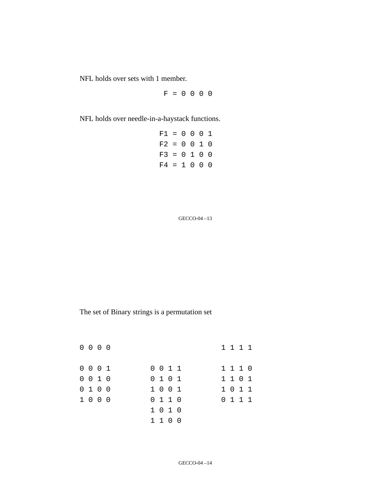NFL holds over sets with 1 member.

 $F = 0 0 0 0$ 

NFL holds over needle-in-a-haystack functions.

| $F1 = 0 0 0 1$ |  |  |  |
|----------------|--|--|--|
| $F2 = 0 0 1 0$ |  |  |  |
| $F3 = 0 1 0 0$ |  |  |  |
| $F4 = 1 0 0 0$ |  |  |  |

GECCO-04 –13

The set of Binary strings is a permutation set

| $0\,0\,0\,0$ |  |  |  |         |  |  |  | 1111    |  |
|--------------|--|--|--|---------|--|--|--|---------|--|
| 0001         |  |  |  | 0 0 1 1 |  |  |  | 1110    |  |
| 0 0 1 0      |  |  |  | 0 1 0 1 |  |  |  | 1 1 0 1 |  |
| 0 1 0 0      |  |  |  | 1 0 0 1 |  |  |  | 1011    |  |
| 1 0 0 0      |  |  |  | 0 1 1 0 |  |  |  | 0 1 1 1 |  |
|              |  |  |  | 1010    |  |  |  |         |  |
|              |  |  |  | 1100    |  |  |  |         |  |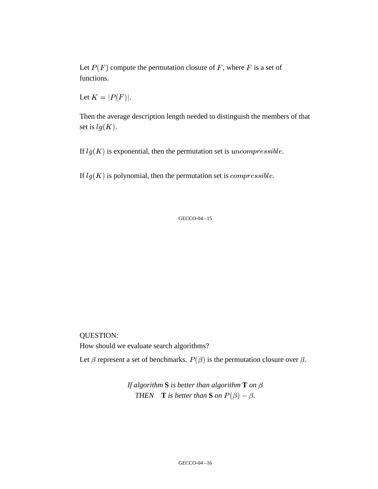Let  $P(F)$  compute the permutation closure of F, where F is a set of functions.

Let  $K = |P(F)|$ .

Then the average description length needed to distinguish the members of that set is  $lg(K)$ .

If  $lg(K)$  is exponential, then the permutation set is *uncompressible*.

If  $lg(K)$  is polynomial, then the permutation set is *compressible*.

GECCO-04 –15

QUESTION:

How should we evaluate search algorithms?

Let  $\beta$  represent a set of benchmarks.  $P(\beta)$  is the permutation closure over  $\beta$ .

*If algorithm* **S** *is better than algorithm* **T** *on*  $\beta$ *THEN* **T** *is better than* **S** *on*  $P(\beta) - \beta$ .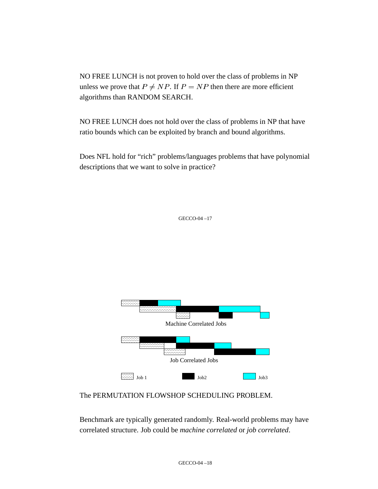NO FREE LUNCH is not proven to hold over the class of problems in NP unless we prove that  $P \neq NP$ . If  $P = NP$  then there are more efficient algorithms than RANDOM SEARCH.

NO FREE LUNCH does not hold over the class of problems in NP that have ratio bounds which can be exploited by branch and bound algorithms.

Does NFL hold for "rich" problems/languages problems that have polynomial descriptions that we want to solve in practice?

GECCO-04 –17



The PERMUTATION FLOWSHOP SCHEDULING PROBLEM.

Benchmark are typically generated randomly. Real-world problems may have correlated structure. Job could be *machine correlated* or *job correlated*.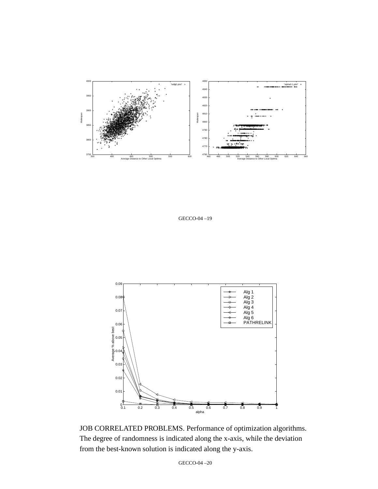

GECCO-04 –19



JOB CORRELATED PROBLEMS. Performance of optimization algorithms. The degree of randomness is indicated along the x-axis, while the deviation from the best-known solution is indicated along the y-axis.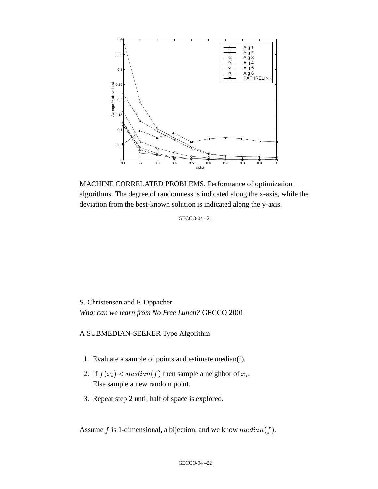

MACHINE CORRELATED PROBLEMS. Performance of optimization algorithms. The degree of randomness is indicated along the x-axis, while the deviation from the best-known solution is indicated along the y-axis.

GECCO-04 –21

S. Christensen and F. Oppacher *What can we learn from No Free Lunch?* GECCO 2001

#### A SUBMEDIAN-SEEKER Type Algorithm

- 1. Evaluate a sample of points and estimate median(f).
- 2. If  $f(x_i) < me$  $) < median(f)$  then sample a neighbor of  $x_i$ . Else sample a new random point.
- 3. Repeat step 2 until half of space is explored.

Assume f is 1-dimensional, a bijection, and we know  $median(f)$ .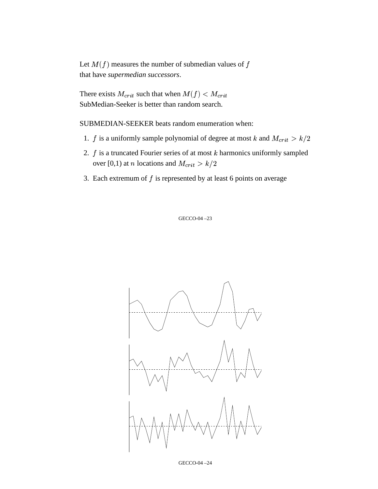Let  $M(f)$  measures the number of submedian values of f that have *supermedian successors*.

There exists  $M_{crit}$  such that when  $M(f) < M_{crit}$ SubMedian-Seeker is better than random search.

SUBMEDIAN-SEEKER beats random enumeration when:

- 1. *f* is a uniformly sample polynomial of degree at most *k* and  $M_{crit} > k/2$
- 2.  $f$  is a truncated Fourier series of at most  $k$  harmonics uniformly sampled over [0,1) at *n* locations and  $M_{crit} > k/2$
- 3. Each extremum of  $f$  is represented by at least 6 points on average



GECCO-04 –24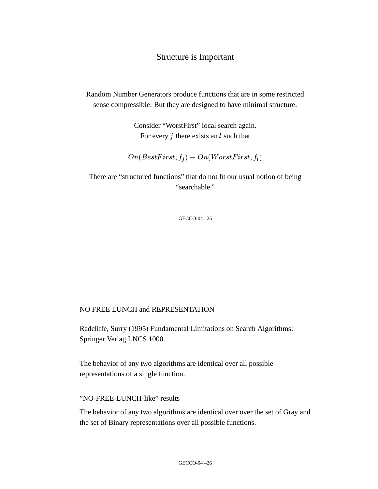### Structure is Important

Random Number Generators produce functions that are in some restricted sense compressible. But they are designed to have minimal structure.

> Consider "WorstFirst" local search again. For every  $j$  there exists an  $l$  such that

! "\$#%'& "  $f_i$   $\equiv$   $On(WorstFirst, f_i)$ ,
/

There are "structured functions" that do not fit our usual notion of being "searchable."

GECCO-04 –25

#### NO FREE LUNCH and REPRESENTATION

Radcliffe, Surry (1995) Fundamental Limitations on Search Algorithms: Springer Verlag LNCS 1000.

The behavior of any two algorithms are identical over all possible representations of a single function.

#### "NO-FREE-LUNCH-like" results

The behavior of any two algorithms are identical over over the set of Gray and the set of Binary representations over all possible functions.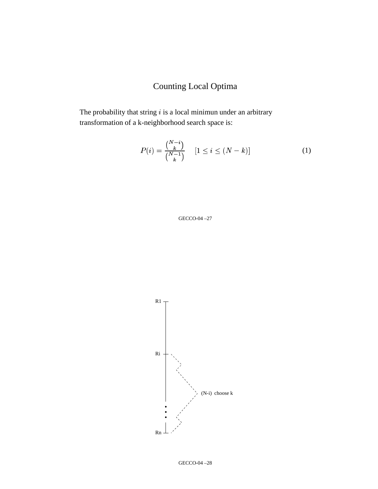## Counting Local Optima

The probability that string  $i$  is a local minimun under an arbitrary transformation of a k-neighborhood search space is:

$$
P(i) = \frac{\binom{N-i}{k}}{\binom{N-1}{k}} \quad [1 \le i \le (N-k)] \tag{1}
$$



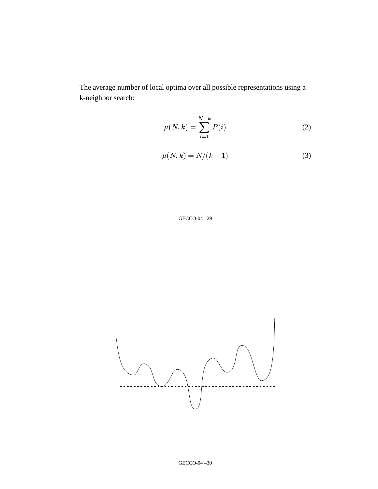The average number of local optima over all possible representations using a k-neighbor search:

$$
\mu(N,k) = \sum_{i=1}^{N-k} P(i)
$$
 (2)

$$
\mu(N,k) = N/(k+1) \tag{3}
$$

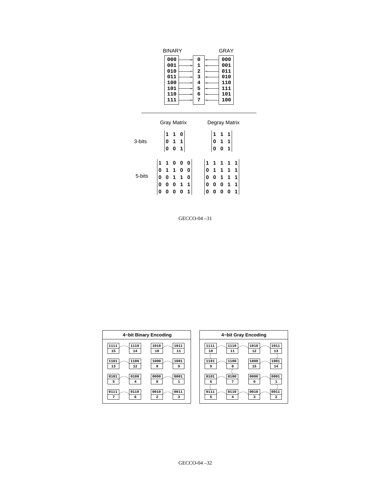| BINARY                                                                 | GRAY                                                                                    |
|------------------------------------------------------------------------|-----------------------------------------------------------------------------------------|
| 000<br>001<br>٠<br>010<br>÷<br>011<br>5<br>100<br>s<br>101<br>۰<br>110 | 000<br>0<br>1<br>001<br>$\frac{2}{3}$<br>011<br>010<br>4<br>110<br>5<br>111<br>6<br>101 |
| 111<br>۰                                                               | 7<br>100                                                                                |
| Gray Matrix                                                            | Degray Matrix                                                                           |
| 1<br>0                                                                 |                                                                                         |

| 3-bits |                                                                        |          |                                                        |  |                                                                                                                  |                                                        |  |  |
|--------|------------------------------------------------------------------------|----------|--------------------------------------------------------|--|------------------------------------------------------------------------------------------------------------------|--------------------------------------------------------|--|--|
|        |                                                                        |          | $\begin{bmatrix} 0 & 1 & 1 \\ 0 & 0 & 1 \end{bmatrix}$ |  |                                                                                                                  | $\begin{vmatrix} 0 & 1 & 1 \\ 0 & 0 & 1 \end{vmatrix}$ |  |  |
|        |                                                                        |          |                                                        |  |                                                                                                                  |                                                        |  |  |
|        | $\begin{vmatrix} 1 & 1 & 0 & 0 & 0 \\ 0 & 1 & 1 & 0 & 0 \end{vmatrix}$ |          |                                                        |  | $\begin{vmatrix} 1 & 1 & 1 & 1 & 1 \\ 0 & 1 & 1 & 1 & 1 \end{vmatrix}$                                           |                                                        |  |  |
| 5-bits |                                                                        |          | $ 0 \t0 \t1 \t1 \t0 $                                  |  | $\begin{array}{ c c c c c c }\n\hline\n0 & 0 & 1 & 1 & 1 \\ 0 & 0 & 0 & 1 & 1 \\ 0 & 0 & 0 & 0 & 1\n\end{array}$ |                                                        |  |  |
|        |                                                                        |          | $ 0 \t0 \t0 \t1 \t1 $                                  |  |                                                                                                                  |                                                        |  |  |
|        |                                                                        | $\bf{0}$ | $0 \t0 \t1$                                            |  |                                                                                                                  |                                                        |  |  |

| 4-bit Binary Encoding   | 4-bit Gray Encoding |
|-------------------------|---------------------|
| 1111                    | 1011                |
| 1110                    | 1010                |
| 1010                    | 1111                |
| 1011                    | 1110                |
| 15                      | 11                  |
| 14                      | 12                  |
| 10                      | 10                  |
| 11                      | 13                  |
| 1101                    | 1001                |
| 1100                    | 1101                |
| 1000                    | 1100                |
| 1001                    | 1000                |
| 13                      | 9                   |
| 12                      | 8                   |
| 8                       | 15                  |
| 9                       | 14                  |
| 0101                    | 0100                |
| 0000                    | 0001                |
| 0100                    | 0101                |
| 0001                    | 0000                |
| 5                       | 7                   |
| $\mathbf{1}$            | 0                   |
| 4                       | 1                   |
| 0                       | 6                   |
| 0110                    | 0011                |
| 0111                    | 0110                |
| 0010                    | 0010                |
| 0011                    | 0111                |
| $\overline{\mathbf{2}}$ | 5                   |
| 7                       | 3                   |
| 3                       | $\mathbf{2}$        |
| 6                       | 4                   |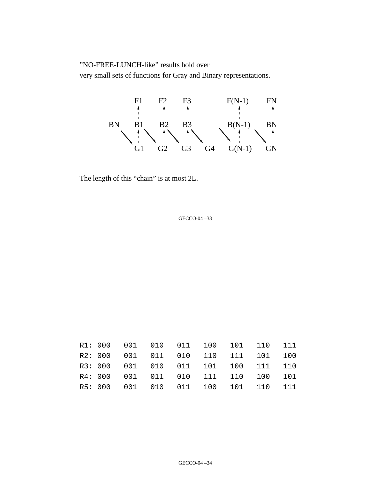"NO-FREE-LUNCH-like" results hold over

very small sets of functions for Gray and Binary representations.



The length of this "chain" is at most 2L.

|  |  |  | R1: 000 001 010 011 100 101 110 111 |  |
|--|--|--|-------------------------------------|--|
|  |  |  | R2: 000 001 011 010 110 111 101 100 |  |
|  |  |  | R3: 000 001 010 011 101 100 111 110 |  |
|  |  |  | R4: 000 001 011 010 111 110 100 101 |  |
|  |  |  | R5: 000 001 010 011 100 101 110 111 |  |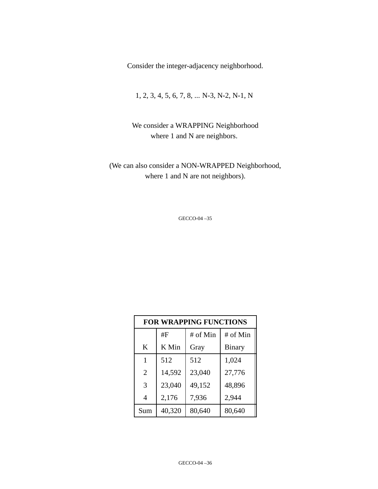Consider the integer-adjacency neighborhood.

1, 2, 3, 4, 5, 6, 7, 8, ... N-3, N-2, N-1, N

We consider a WRAPPING Neighborhood where 1 and N are neighbors.

(We can also consider a NON-WRAPPED Neighborhood, where 1 and N are not neighbors).

| <b>FOR WRAPPING FUNCTIONS</b> |        |          |               |  |  |  |  |
|-------------------------------|--------|----------|---------------|--|--|--|--|
|                               | #F     | # of Min | # of Min      |  |  |  |  |
| K                             | K Min  | Gray     | <b>Binary</b> |  |  |  |  |
| 1                             | 512    | 512      | 1,024         |  |  |  |  |
| 2                             | 14,592 | 23,040   | 27,776        |  |  |  |  |
| 3                             | 23,040 | 49,152   | 48,896        |  |  |  |  |
| $\overline{4}$                | 2,176  | 7,936    | 2,944         |  |  |  |  |
| Sum                           | 40,320 | 80,640   | 80,640        |  |  |  |  |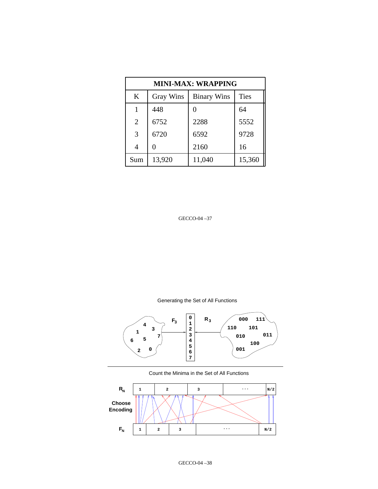| MINI-MAX: WRAPPING |                  |                    |             |  |  |  |  |  |
|--------------------|------------------|--------------------|-------------|--|--|--|--|--|
| K                  | <b>Gray Wins</b> | <b>Binary Wins</b> | <b>Ties</b> |  |  |  |  |  |
| 1                  | 448              |                    | 64          |  |  |  |  |  |
| $\overline{2}$     | 6752             | 2288               | 5552        |  |  |  |  |  |
| 3                  | 6720             | 6592               | 9728        |  |  |  |  |  |
| $\overline{4}$     |                  | 2160               | 16          |  |  |  |  |  |
| Sum                | 13,920           | 11,040             | 15,360      |  |  |  |  |  |

Generating the Set of All Functions



Count the Minima in the Set of All Functions

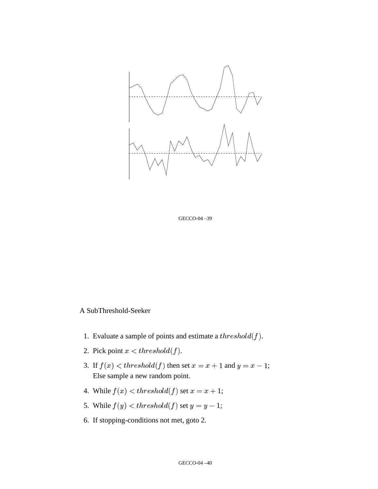

GECCO-04 –39

#### A SubThreshold-Seeker

- 1. Evaluate a sample of points and estimate a  $threshold(f)$ .
- 2. Pick point  $x < threshold(f)$  $threshold(f).$
- 3. If  $f(x) < threshold(f)$  then set  $x = x + 1$  and  $y =$   $+1$  and  $y = x - 1$ ;  $-1;$ Else sample a new random point.
- 4. While  $f(x) < threshold(f)$  set  $x = x + 1$ ;  $+1;$
- 5. While  $f(y) < thre$ . . . . . . . . . . . . . . .  $threshold(f)$  set  $y=y-1;$
- 6. If stopping-conditions not met, goto 2.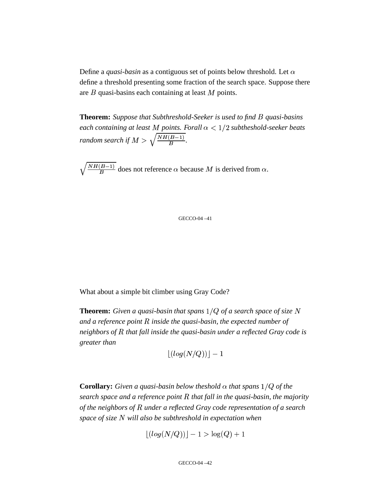Define a *quasi-basin* as a contiguous set of points below threshold. Let  $\alpha$ define a threshold presenting some fraction of the search space. Suppose there are  $B$  quasi-basins each containing at least  $M$  points.

**Theorem:** *Suppose that Subthreshold-Seeker is used to find quasi-basins*  $e$ ach containing at least  $M$  points. Forall  $\alpha < 1/2$  subtheshold-seeker beats *random search if*  $M > \sqrt{\frac{NH(B-1)}{B}}$ .

 $\sqrt{\frac{NH(B-1)}{R}}$  does not reference  $\alpha$  because M is derived from  $\alpha$ .

GECCO-04 –41

What about a simple bit climber using Gray Code?

**Theorem:** *Given a quasi-basin that spans of a search space of size and a reference point inside the quasi-basin, the expected number of neighbors of that fall inside the quasi-basin under a reflected Gray code is greater than*

$$
\lfloor(log(N/Q))\rfloor-1
$$

Corollary: Given a quasi-basin below theshold  $\alpha$  that spans  $1/Q$  of the *search space and a reference point that fall in the quasi-basin, the majority of the neighbors of under a reflected Gray code representation of a search*  $space$  *of size*  $N$  *will also be subthreshold in expectation when* 

$$
\lfloor(log(N/Q))\rfloor - 1 > \log(Q) + 1
$$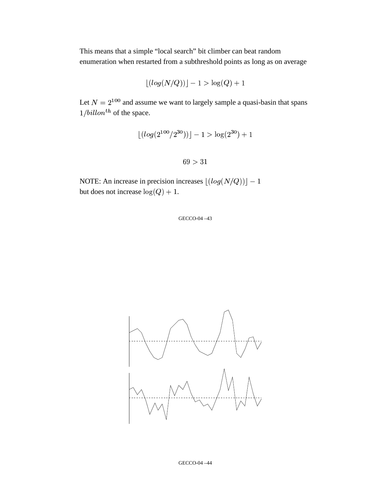This means that a simple "local search" bit climber can beat random enumeration when restarted from a subthreshold points as long as on average

$$
\lfloor(log(N/Q))\rfloor - 1 > \log(Q) + 1
$$

Let  $N = 2^{100}$  and assume <sup>100</sup> and assume we want to largely sample a quasi-basin that spans  $-7$  ......  $\frac{billon^{th}}{b}$  of the space.

$$
\lfloor (\log(2^{100}/2^{30})) \rfloor - 1 > \log(2^{30}) + 1
$$

NOTE: An increase in precision increases  $|(log($  $(log(N/Q))$  |  $-1$ but does not increase  $log(Q) + 1$ .